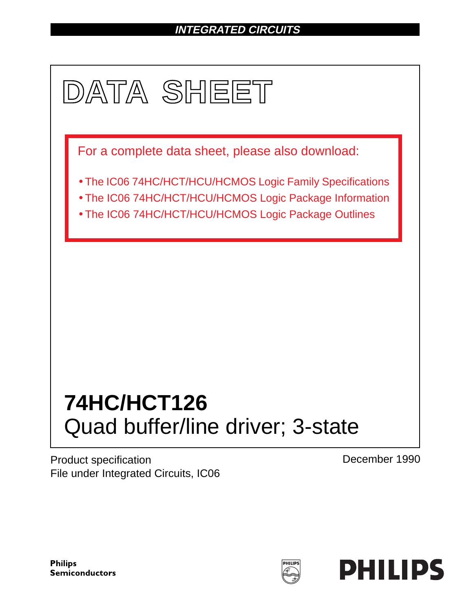# **INTEGRATED CIRCUITS**



Product specification File under Integrated Circuits, IC06 December 1990

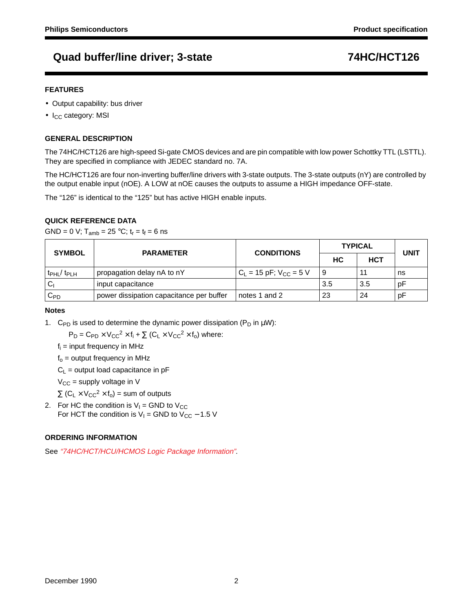#### **FEATURES**

- Output capability: bus driver
- $\bullet$  I<sub>CC</sub> category: MSI

#### **GENERAL DESCRIPTION**

The 74HC/HCT126 are high-speed Si-gate CMOS devices and are pin compatible with low power Schottky TTL (LSTTL). They are specified in compliance with JEDEC standard no. 7A.

The HC/HCT126 are four non-inverting buffer/line drivers with 3-state outputs. The 3-state outputs (nY) are controlled by the output enable input (nOE). A LOW at nOE causes the outputs to assume a HIGH impedance OFF-state.

The "126" is identical to the "125" but has active HIGH enable inputs.

### **QUICK REFERENCE DATA**

GND = 0 V;  $T_{amb}$  = 25 °C;  $t_r = t_f = 6$  ns

| <b>SYMBOL</b>                      | <b>PARAMETER</b>                         | <b>CONDITIONS</b>             | <b>TYPICAL</b> | <b>UNIT</b> |    |  |
|------------------------------------|------------------------------------------|-------------------------------|----------------|-------------|----|--|
|                                    |                                          |                               | HC.            | <b>HCT</b>  |    |  |
| t <sub>PHL</sub> /t <sub>PLH</sub> | propagation delay nA to nY               | $C_L = 15$ pF; $V_{CC} = 5$ V |                |             | ns |  |
| Cı                                 | input capacitance                        |                               | 3.5            | 3.5         | рF |  |
| $\mathtt{C_{PD}}$                  | power dissipation capacitance per buffer | notes 1 and 2                 | 23             | 24          | рF |  |

#### **Notes**

1. C<sub>PD</sub> is used to determine the dynamic power dissipation (P<sub>D</sub> in  $\mu$ W):

 $P_D = C_{PD} \times V_{CC}^2 \times f_i + \sum (C_L \times V_{CC}^2 \times f_o)$  where:

 $f_i$  = input frequency in MHz

 $f<sub>o</sub>$  = output frequency in MHz

 $C_1$  = output load capacitance in pF

 $V_{CC}$  = supply voltage in V

 $\Sigma$  (C<sub>L</sub> × V<sub>CC</sub><sup>2</sup> × f<sub>o</sub>) = sum of outputs

2. For HC the condition is  $V_1$  = GND to  $V_{CC}$ For HCT the condition is  $V_1$  = GND to  $V_{CC}$  – 1.5 V

#### **ORDERING INFORMATION**

See "74HC/HCT/HCU/HCMOS Logic Package Information".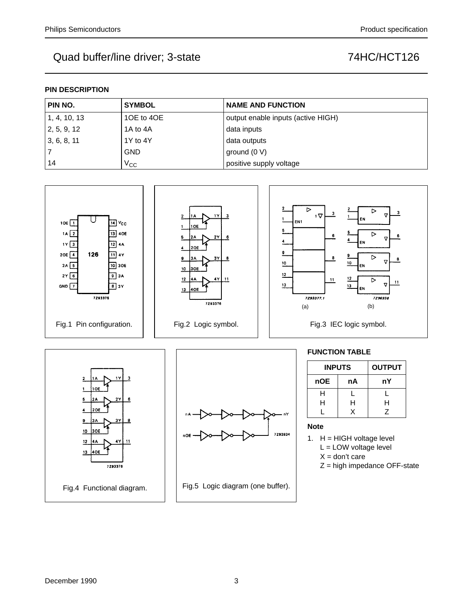### **PIN DESCRIPTION**

| PIN NO.      | <b>SYMBOL</b> | <b>NAME AND FUNCTION</b>           |
|--------------|---------------|------------------------------------|
| 1, 4, 10, 13 | 10E to 40E    | output enable inputs (active HIGH) |
| 2, 5, 9, 12  | 1A to 4A      | data inputs                        |
| 3, 6, 8, 11  | 1Y to 4Y      | data outputs                       |
|              | <b>GND</b>    | ground $(0 V)$                     |
| 14           | $V_{\rm CC}$  | positive supply voltage            |

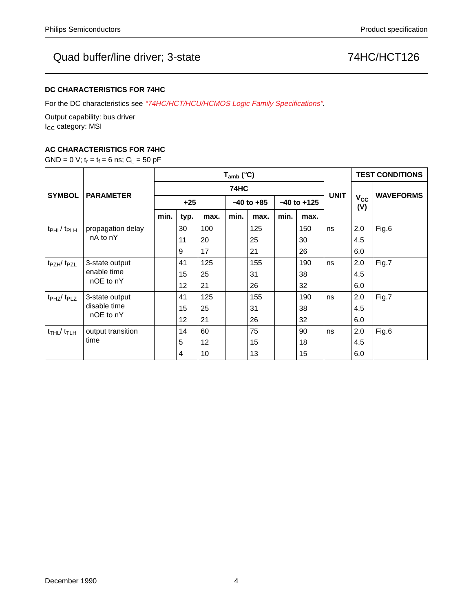### **DC CHARACTERISTICS FOR 74HC**

For the DC characteristics see "74HC/HCT/HCU/HCMOS Logic Family Specifications".

Output capability: bus driver I<sub>CC</sub> category: MSI

### **AC CHARACTERISTICS FOR 74HC**

GND = 0 V;  $t_r = t_f = 6$  ns;  $C_L = 50$  pF

|                                         | <b>PARAMETER</b>                            | $T_{amb}$ (°C) |                 |                 |                |      |                 |      |             | <b>TEST CONDITIONS</b> |                  |
|-----------------------------------------|---------------------------------------------|----------------|-----------------|-----------------|----------------|------|-----------------|------|-------------|------------------------|------------------|
| <b>SYMBOL</b>                           |                                             | <b>74HC</b>    |                 |                 |                |      |                 |      |             |                        |                  |
|                                         |                                             | $+25$          |                 |                 | $-40$ to $+85$ |      | $-40$ to $+125$ |      | <b>UNIT</b> | $V_{CC}$<br>(V)        | <b>WAVEFORMS</b> |
|                                         |                                             | min.           | typ.            | max.            | min.           | max. | min.            | max. |             |                        |                  |
| $t_{\rm PHL}$ / $t_{\rm PLH}$           | propagation delay                           |                | 30              | 100             |                | 125  |                 | 150  | ns          | 2.0                    | Fig.6            |
|                                         | nA to nY                                    |                | 11              | 20              |                | 25   |                 | 30   |             | 4.5                    |                  |
|                                         |                                             |                | 9               | 17              |                | 21   |                 | 26   |             | 6.0                    |                  |
| t <sub>PZH</sub> /t <sub>PZL</sub>      | 3-state output<br>enable time<br>nOE to nY  |                | 41              | 125             |                | 155  |                 | 190  | ns          | 2.0                    | Fig.7            |
|                                         |                                             |                | 15              | 25              |                | 31   |                 | 38   |             | 4.5                    |                  |
|                                         |                                             |                | 12 <sub>2</sub> | 21              |                | 26   |                 | 32   |             | 6.0                    |                  |
| $t_{PHZ}/t_{PLZ}$                       | 3-state output<br>disable time<br>nOE to nY |                | 41              | 125             |                | 155  |                 | 190  | ns          | 2.0                    | Fig.7            |
|                                         |                                             |                | 15              | 25              |                | 31   |                 | 38   |             | 4.5                    |                  |
|                                         |                                             |                | 12              | 21              |                | 26   |                 | 32   |             | 6.0                    |                  |
| $t$ <sub>THL</sub> / $t$ <sub>TLH</sub> | output transition<br>time                   |                | 14              | 60              |                | 75   |                 | 90   | ns          | 2.0                    | Fig.6            |
|                                         |                                             |                | 5               | 12 <sup>2</sup> |                | 15   |                 | 18   |             | 4.5                    |                  |
|                                         |                                             |                | 4               | 10              |                | 13   |                 | 15   |             | 6.0                    |                  |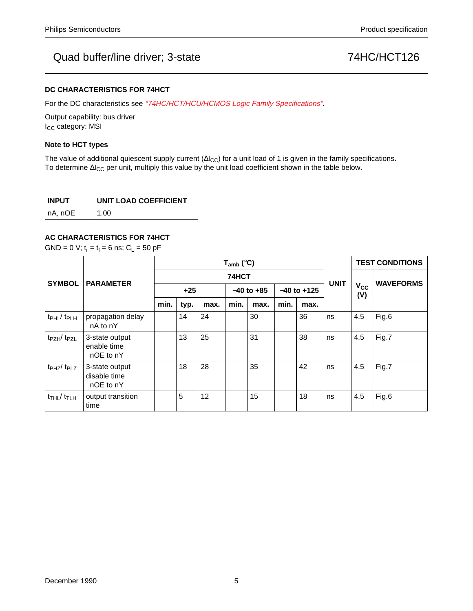#### **DC CHARACTERISTICS FOR 74HCT**

For the DC characteristics see "74HC/HCT/HCU/HCMOS Logic Family Specifications".

Output capability: bus driver I<sub>CC</sub> category: MSI

#### **Note to HCT types**

The value of additional quiescent supply current ( $\Delta I_{CC}$ ) for a unit load of 1 is given in the family specifications. To determine ∆I<sub>CC</sub> per unit, multiply this value by the unit load coefficient shown in the table below.

| <b>INPUT</b> | UNIT LOAD COEFFICIENT |
|--------------|-----------------------|
| ∣nA, nOE     | 1.00                  |

### **AC CHARACTERISTICS FOR 74HCT**

GND = 0 V;  $t_r = t_f = 6$  ns;  $C_L = 50$  pF

|                                        | <b>PARAMETER</b>                            | $T_{amb}$ (°C) |      |      |                |      |                 |      |             | <b>TEST CONDITIONS</b> |                  |
|----------------------------------------|---------------------------------------------|----------------|------|------|----------------|------|-----------------|------|-------------|------------------------|------------------|
| <b>SYMBOL</b>                          |                                             | 74HCT          |      |      |                |      |                 |      |             |                        |                  |
|                                        |                                             | $+25$          |      |      | $-40$ to $+85$ |      | $-40$ to $+125$ |      | <b>UNIT</b> | $V_{CC}$<br>(V)        | <b>WAVEFORMS</b> |
|                                        |                                             | min.           | typ. | max. | min.           | max. | min.            | max. |             |                        |                  |
| t <sub>PHL</sub> / t <sub>PLH</sub>    | propagation delay<br>nA to nY               |                | 14   | 24   |                | 30   |                 | 36   | ns          | 4.5                    | Fig.6            |
| $t_{PZH}/t_{PZL}$                      | 3-state output<br>enable time<br>nOE to nY  |                | 13   | 25   |                | 31   |                 | 38   | ns          | 4.5                    | Fig.7            |
| $tpHZ$ $tpLZ$                          | 3-state output<br>disable time<br>nOE to nY |                | 18   | 28   |                | 35   |                 | 42   | ns          | 4.5                    | Fig.7            |
| $t$ <sub>THL</sub> $/t$ <sub>TLH</sub> | output transition<br>time                   |                | 5    | 12   |                | 15   |                 | 18   | ns          | 4.5                    | Fig.6            |